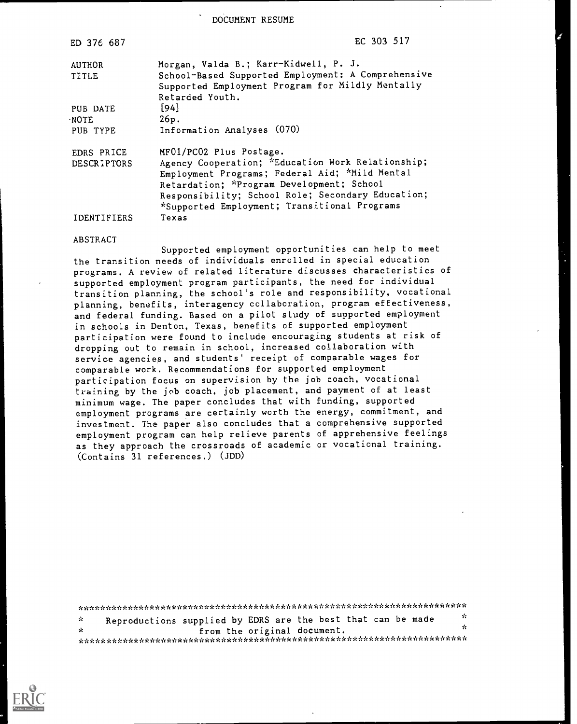DOCUMENT RESUME

| ED 376 687         | EC 303 517                                                                                                                |  |  |  |  |  |
|--------------------|---------------------------------------------------------------------------------------------------------------------------|--|--|--|--|--|
| AUTHOR             | Morgan, Valda B.; Karr-Kidwell, P. J.                                                                                     |  |  |  |  |  |
| <b>TITLE</b>       | School-Based Supported Employment: A Comprehensive<br>Supported Employment Program for Mildly Mentally<br>Retarded Youth. |  |  |  |  |  |
| PUB DATE           | $[94]$                                                                                                                    |  |  |  |  |  |
| ·NOTE              | 26p.                                                                                                                      |  |  |  |  |  |
| PUB TYPE           | Information Analyses (070)                                                                                                |  |  |  |  |  |
| EDRS PRICE         | MF01/PC02 Plus Postage.                                                                                                   |  |  |  |  |  |
| <b>DESCRIPTORS</b> | Agency Cooperation; *Education Work Relationship;                                                                         |  |  |  |  |  |
|                    | Employment Programs; Federal Aid; *Mild Mental                                                                            |  |  |  |  |  |
|                    | Retardation; *Program Development; School                                                                                 |  |  |  |  |  |
|                    | Responsibility; School Role; Secondary Education;                                                                         |  |  |  |  |  |
|                    | *Supported Employment; Transitional Programs                                                                              |  |  |  |  |  |
| IDENTIFIERS        | Texas                                                                                                                     |  |  |  |  |  |

#### ABSTRACT

Supported employment opportunities can help to meet the transition needs of individuals enrolled in special education programs. A review of related literature discusses characteristics of supported employment program participants, the need for individual transition planning, the school's role and responsibility, vocational planning, benefits, interagency collaboration, program effectiveness, and federal funding. Based on a pilot study of supported employment in schools in Denton, Texas, benefits of supported employment participation were found to include encouraging students at risk of dropping out to remain in school, increased collaboration with service agencies, and students' receipt of comparable wages for comparable work. Recommendations for supported employment participation focus on supervision by the job coach, vocational training by the job coach, job placement, and payment of at least minimum wage. The paper concludes that with funding, supported employment programs are certainly worth the energy, commitment, and investment. The paper also concludes that a comprehensive supported employment program can help relieve parents of apprehensive feelings as they approach the crossroads of academic or vocational training. (Contains 31 references.) (JDD)

| - Sc | Reproductions supplied by EDRS are the best that can be made |  |  |                             |  |  | n.  |  |  |
|------|--------------------------------------------------------------|--|--|-----------------------------|--|--|-----|--|--|
| - ok |                                                              |  |  | from the original document. |  |  | УC. |  |  |
|      |                                                              |  |  |                             |  |  |     |  |  |

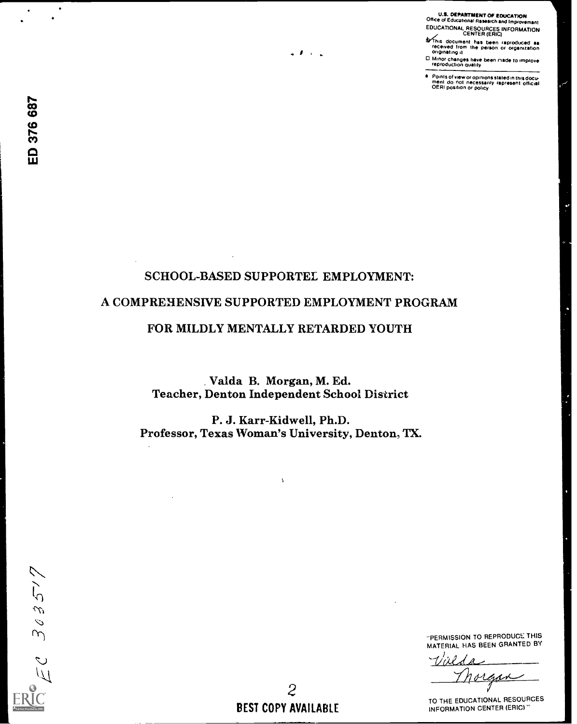U.S. DEPARTMENT Of EDUCATION Office of Educational Research and Improvement EDUCATIONAL RESOURCES INFORMATION CENTER (ERIC)

**G**/This document has been raproduced aa<br>- received from the person or organization<br>- originating it

( Minor changes have been made to improve reproduction quality

Points of view or opinions stated in this docu- ment do not necessarily represent Official OERI position or policy

# SCHOOL-BASED SUPPORTEL EMPLOYMENT: A COMPREHENSIVE SUPPORTED EMPLOYMENT PROGRAM

 $\bullet$  *F*  $\rightarrow$   $\bullet$ 

# FOR MILDLY MENTALLY RETARDED YOUTH

Valda B. Morgan, M. Ed. Teacher, Denton Independent School District

P. J. Karr-Kidwell, Ph.D. Professor, Texas Woman's University, Denton, TX.

Ň,

 $303577$ 

PERMISSION TO REPRODUCE THIS MATERIAL HAS BEEN GRANTED BY

 $\Lambda^{\prime}$ 

TO THE EDUCATIONAL RESOURCES INFORMATION CENTER (ERIC)"

2 BEST COPY AVAILABLE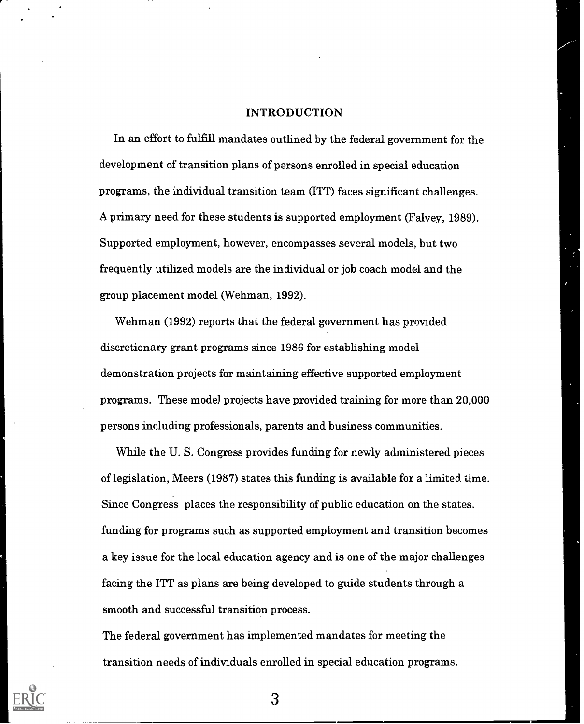#### INTRODUCTION

In an effort to fulfill mandates outlined by the federal government for the development of transition plans of persons enrolled in special education programs, the individual transition team (ITT) faces significant challenges. A primary need for these students is supported employment (Falvey, 1989). Supported employment, however, encompasses several models, but two frequently utilized models are the individual or job coach model and the group placement model (Wehman, 1992).

Wehman (1992) reports that the federal government has provided discretionary grant programs since 1986 for establishing model demonstration projects for maintaining effective supported employment programs. These model projects have provided training for more than 20,000 persons including professionals, parents and business communities.

While the U. S. Congress provides funding for newly administered pieces of legislation, Meers (1987) states this funding is available for a limited time. Since Congress places the responsibility of public education on the states. funding for programs such as supported employment and transition becomes a key issue for the local education agency and is one of the major challenges facing the ITT as plans are being developed to guide students through a smooth and successful transition process.

The federal government has implemented mandates for meeting the transition needs of individuals enrolled in special education programs.

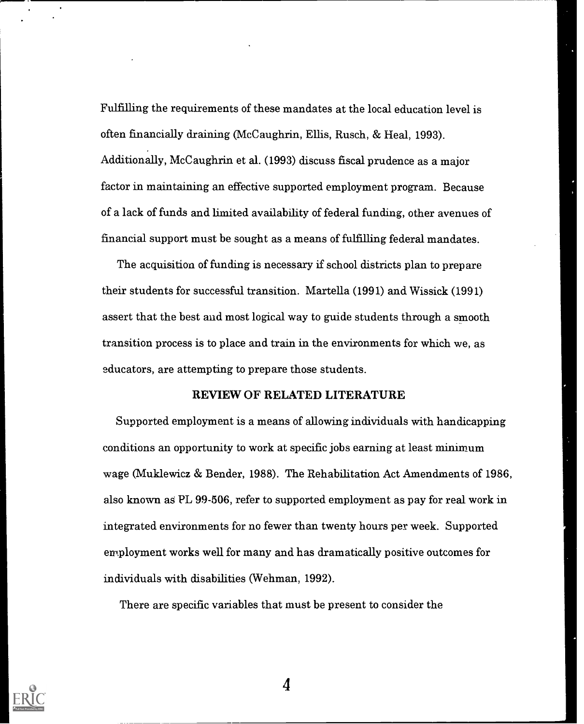Fulfilling the requirements of these mandates at the local education level is often financially draining (McCaughrin, Ellis, Rusch, & Heal, 1993). Additionally, McCaughrin et al. (1993) discuss fiscal prudence as a major factor in maintaining an effective supported employment program. Because of a lack of funds and limited availability of federal funding, other avenues of financial support must be sought as a means of fulfilling federal mandates.

The acquisition of funding is necessary if school districts plan to prepare their students for successful transition. Martella (1991) and Wissick (1991) assert that the best and most logical way to guide students through a smooth transition process is to place and train in the environments for which we, as educators, are attempting to prepare those students.

#### REVIEW OF RELATED LITERATURE

Supported employment is a means of allowing individuals with handicapping conditions an opportunity to work at specific jobs earning at least minimum wage (Muklewicz & Bender, 1988). The Rehabilitation Act Amendments of 1986, also known as PL 99-506, refer to supported employment as pay for real work in integrated environments for no fewer than twenty hours per week. Supported employment works well for many and has dramatically positive outcomes for individuals with disabilities (Wehman, 1992).

There are specific variables that must be present to consider the

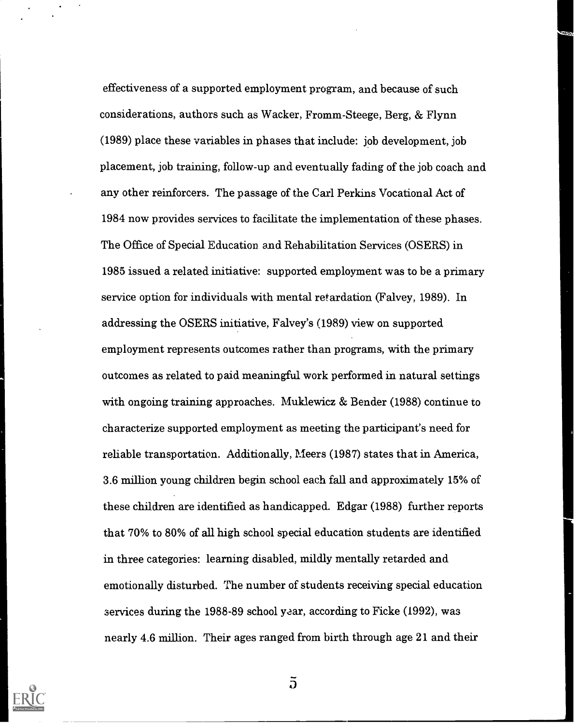effectiveness of a supported employment program, and because of such considerations, authors such as Wacker, Fromm-Steege, Berg, & Flynn (1989) place these variables in phases that include: job development, job placement, job training, follow-up and eventually fading of the job coach and any other reinforcers. The passage of the Carl Perkins Vocational Act of 1984 now provides services to facilitate the implementation of these phases. The Office of Special Education and Rehabilitation Services (OSERS) in 1985 issued a related initiative: supported employment was to be a primary service option for individuals with mental retardation (Falvey, 1989). In addressing the OSERS initiative, Falvey's (1989) view on supported employment represents outcomes rather than programs, with the primary outcomes as related to paid meaningful work performed in natural settings with ongoing training approaches. Muklewicz & Bender (1988) continue to characterize supported employment as meeting the participant's need for reliable transportation. Additionally, Meers (1987) states that in America, 3 6 million young children begin school each fall and approximately 15% of these children are identified as handicapped. Edgar (1988) further reports that 70% to 80% of all high school special education students are identified in three categories: learning disabled, mildly mentally retarded and emotionally disturbed. The number of students receiving special education services during the 1988-89 school year, according to Ficke (1992), was nearly 4.6 million. Their ages ranged from birth through age 21 and their



 $\overline{d}$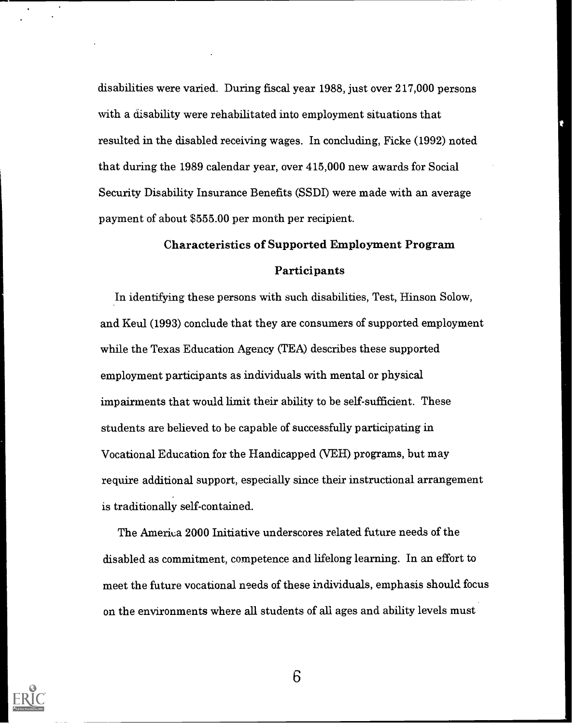disabilities were varied. During fiscal year 1988, just over 217,000 persons with a disability were rehabilitated into employment situations that resulted in the disabled receiving wages. In concluding, Ficke (1992) noted that during the 1989 calendar year, over 415,000 new awards for Social Security Disability Insurance Benefits (SSDI) were made with an average payment of about \$555.00 per month per recipient.

# Characteristics of Supported Employment Program

# Participants

In identifying these persons with such disabilities, Test, Hinson Solow, and Keul (1993) conclude that they are consumers of supported employment while the Texas Education Agency (TEA) describes these supported employment participants as individuals with mental or physical impairments that would limit their ability to be self-sufficient. These students are believed to be capable of successfully participating in Vocational Education for the Handicapped (VEH) programs, but may require additional support, especially since their instructional arrangement is traditionally self-contained.

The America 2000 Initiative underscores related future needs of the disabled as commitment, competence and lifelong learning. In an effort to meet the future vocational needs of these individuals, emphasis should focus on the environments where all students of all ages and ability levels must

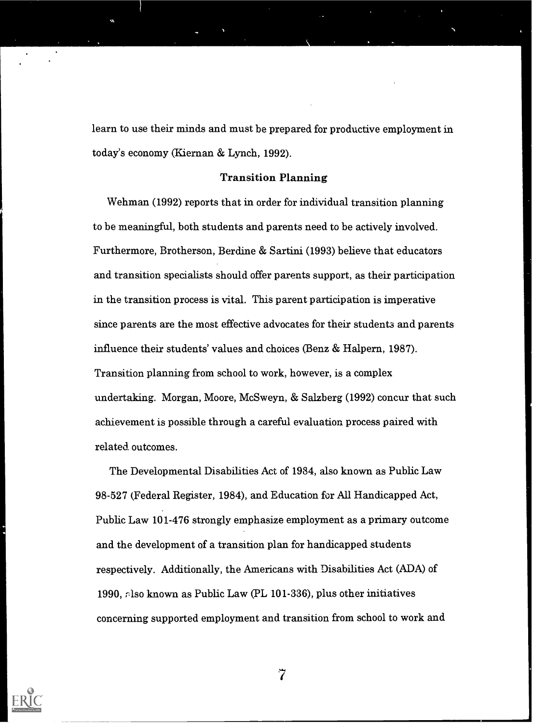learn to use their minds and must be prepared for productive employment in today's economy (Kiernan & Lynch, 1992).

#### Transition Planning

Wehman (1992) reports that in order for individual transition planning to be meaningful, both students and parents need to be actively involved. Furthermore, Brotherson, Berdine & Sartini (1993) believe that educators and transition specialists should offer parents support, as their participation in the transition process is vital. This parent participation is imperative since parents are the most effective advocates for their students and parents influence their students' values and choices (Benz & Halpern, 1987). Transition planning from school to work, however, is a complex undertaking. Morgan, Moore, McSweyn, & Salzberg (1992) concur that such achievement is possible through a careful evaluation process paired with related. outcomes.

The Developmental Disabilities Act of 1984, also known as Public Law 98-527 (Federal Register, 1984), and Education for All Handicapped Act, Public Law 101-476 strongly emphasize employment as a primary outcome and the development of a transition plan for handicapped students respectively. Additionally, the Americans with Disabilities Act (ADA) of 1990, rlso known as Public Law (PL 101-336), plus other initiatives concerning supported employment and transition from school to work and



 $\widetilde{7}$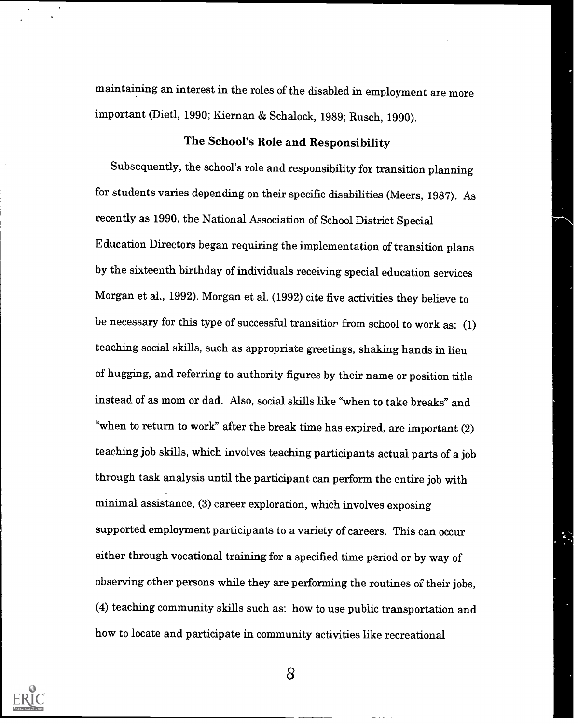maintaining an interest in the roles of the disabled in employment are more important (Died, 1990; Kiernan & Schalock, 1989; Rusch, 1990).

# The School's Role and Responsibility

Subsequently, the school's role and responsibility for transition planning for students varies depending on their specific disabilities (Meers, 1987). As recently as 1990, the National Association of School District Special Education Directors began requiring the implementation of transition plans by the sixteenth birthday of individuals receiving special education services Morgan et al., 1992). Morgan et al. (1992) cite five activities they believe to be necessary for this type of successful transition from school to work as: (1) teaching social skills, such as appropriate greetings, shaking hands in lieu of hugging, and referring to authority figures by their name or position title instead of as mom or dad. Also, social skills like "when to take breaks" and "when to return to work" after the break time has expired, are important (2) teaching job skills, which involves teaching participants actual parts of a job through task analysis until the participant can perform the entire job with minimal assistance, (3) career exploration, which involves exposing supported employment participants to a variety of careers. This can occur either through vocational training for a specified time period or by way of observing other persons while they are performing the routines of their jobs, (4) teaching community skills such as: how to use public transportation and how to locate and participate in community activities like recreational

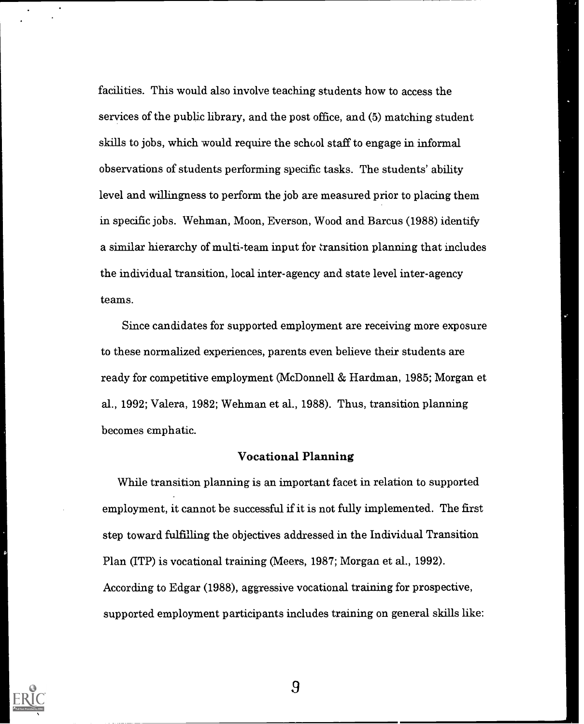facilities. This would also involve teaching students how to access the services of the public library, and the post office, and (5) matching student skills to jobs, which would require the school staff to engage in informal observations of students performing specific tasks. The students' ability level and willingness to perform the job are measured prior to placing them in specific jobs. Wehman, Moon, Everson, Wood and Barcus (1988) identify a similar hierarchy of multi-team input for transition planning that includes the individual transition, local inter-agency and state level inter-agency teams.

Since candidates for supported employment are receiving more exposure to these normalized experiences, parents even believe their students are ready for competitive employment (McDonnell & Hardman, 1985; Morgan et al., 1992; Valera, 1982; Wehman et al., 1988). Thus, transition planning becomes emphatic.

#### Vocational Planning

While transition planning is an important facet in relation to supported employment, it cannot be successful if it is not fully implemented. The first step toward fulfilling the objectives addressed in the Individual Transition Plan (ITP) is vocational training (Meers, 1987; Morgan et al., 1992). According to Edgar (1988), aggressive vocational training for prospective, supported employment participants includes training on general skills like:

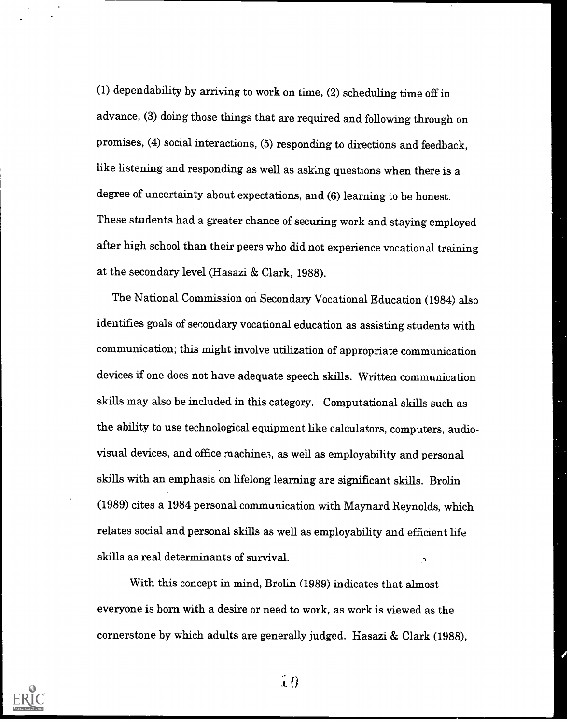(1) dependability by arriving to work on time, (2) scheduling time off in advance, (3) doing those things that are required and following through on promises, (4) social interactions, (5) responding to directions and feedback, like listening and responding as well as asking questions when there is a degree of uncertainty about expectations, and (6) learning to be honest. These students had a greater chance of securing work and staying employed after high school than their peers who did not experience vocational training at the secondary level (Hasazi & Clark, 1988).

The National Commission on Secondary Vocational Education (1984) also identifies goals of secondary vocational education as assisting students with communication; this might involve utilization of appropriate communication devices if one does not have adequate speech skills. Written communication skills may also be included in this category. Computational skills such as the ability to use technological equipment like calculators, computers, audiovisual devices, and office machines, as well as employability and personal skills with an emphasis on lifelong learning are significant skills. Brolin (1989) cites a 1984 personal communication with Maynard Reynolds, which relates social and personal skills as well as employability and efficient life skills as real determinants of survival.  $\mathcal{L}$ 

With this concept in mind, Brolin (1989) indicates that almost everyone is born with a desire or need to work, as work is viewed as the cornerstone by which adults are generally judged. Hasazi & Clark (1988),



 $\ddot{r}$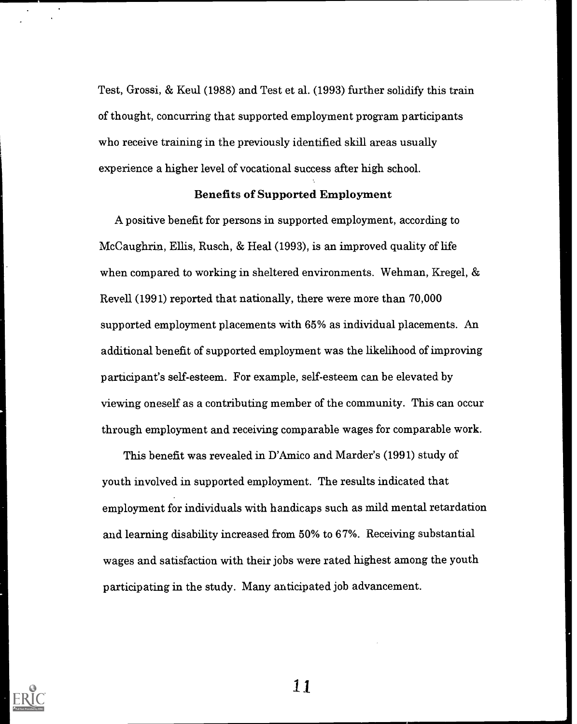Test, Grossi, & Keul (1988) and Test et al. (1993) further solidify this train of thought, concurring that supported employment program participants who receive training in the previously identified skill areas usually experience a higher level of vocational success after high school.

#### Benefits of Supported Employment

A positive benefit for persons in supported employment, according to McCaughrin, Ellis, Rusch, & Heal (1993), is an improved quality of life when compared to working in sheltered environments. Wehman, Kregel, & Revell (1991) reported that nationally, there were more than 70,000 supported employment placements with 65% as individual placements. An additional benefit of supported employment was the likelihood of improving participant's self-esteem. For example, self-esteem can be elevated by viewing oneself as a contributing member of the community. This can occur through employment and receiving comparable wages for comparable work.

This benefit was revealed in D'Amico and Marder's (1991) study of youth involved in supported employment. The results indicated that employment for individuals with handicaps such as mild mental retardation and learning disability increased from 50% to 67%. Receiving substantial wages and satisfaction with their jobs were rated highest among the youth participating in the study. Many anticipated job advancement.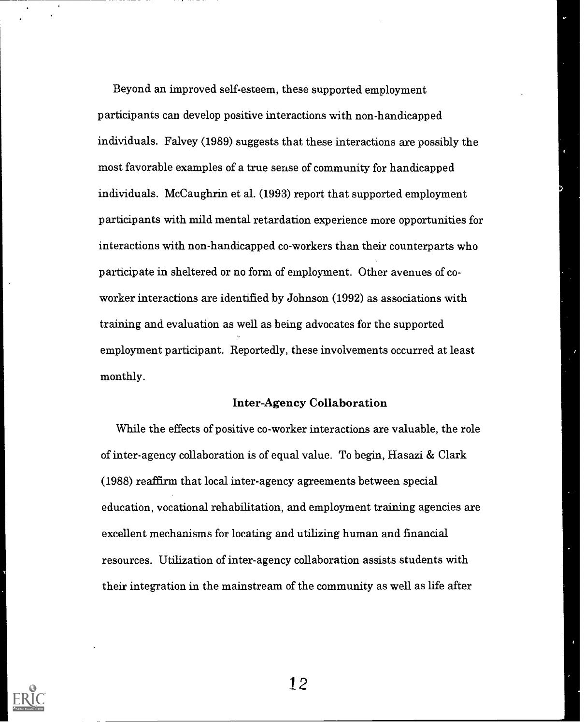Beyond an improved self-esteem, these supported employment participants can develop positive interactions with non-handicapped individuals. Falvey (1989) suggests that these interactions are possibly the most favorable examples of a true sense of community for handicapped individuals. McCaughrin et al. (1993) report that supported employment participants with mild mental retardation experience more opportunities for interactions with non-handicapped co-workers than their counterparts who participate in sheltered or no form of employment. Other avenues of coworker interactions are identified by Johnson (1992) as associations with training and evaluation as well as being advocates for the supported employment participant. Reportedly, these involvements occurred at least monthly.

#### Inter-Agency Collaboration

While the effects of positive co-worker interactions are valuable, the role of inter-agency collaboration is of equal value. To begin, Hasazi & Clark (1988) reaffirm that local inter-agency agreements between special education, vocational rehabilitation, and employment training agencies are excellent mechanisms for locating and utilizing human and financial resources. Utilization of inter-agency collaboration assists students with their integration in the mainstream of the community as well as life after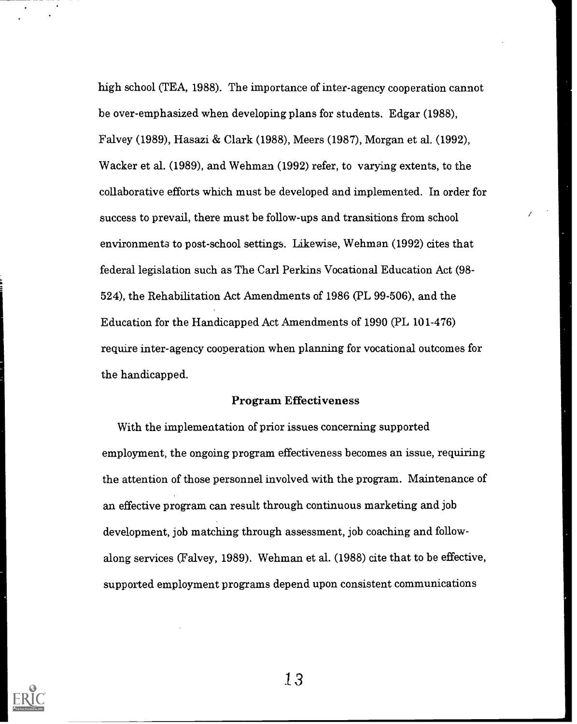high school (TEA, 1988). The importance of inter-agency cooperation cannot be over-emphasized when developing plans for students. Edgar (1988), Falvey (1989), Hasazi & Clark (1988), Meers (1987), Morgan et al. (1992), Wacker et al. (1989), and Wehman (1992) refer, to varying extents, to the collaborative efforts which must be developed and implemented. In order for success to prevail, there must be follow-ups and transitions from school environments to post-school settings. Likewise, Wehman (1992) cites that federal legislation such as The Carl Perkins Vocational Education Act (98- 524), the Rehabilitation Act Amendments of 1986 (PL 99-506), and the Education for the Handicapped Act Amendments of 1990 (PL 101-476) require inter-agency cooperation when planning for vocational outcomes for the handicapped.

# Program Effectiveness

With the implementation of prior issues concerning supported employment, the ongoing program effectiveness becomes an issue, requiring the attention of those personnel involved with the program. Maintenance of an effective program can result through continuous marketing and job development, job matching through assessment, job coaching and followalong services (Falvey, 1989). Wehman et al. (1988) cite that to be effective, supported employment programs depend upon consistent communications

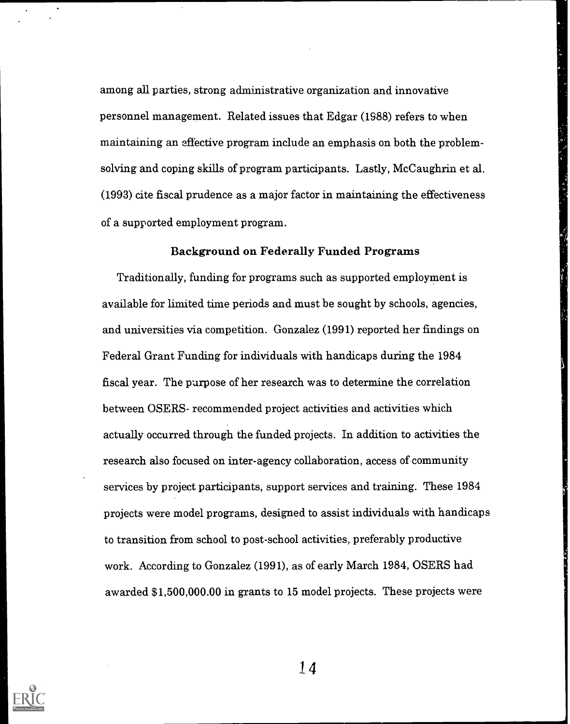among all parties, strong administrative organization and innovative personnel management. Related issues that Edgar (1988) refers to when maintaining an effective program include an emphasis on both the problemsolving and coping skills of program participants. Lastly, McCaughrin et al. (1993) cite fiscal prudence as a major factor in maintaining the effectiveness of a supported employment program.

#### Background on Federally Funded Programs

Traditionally, funding for programs such as supported employment is available for limited time periods and must be sought by schools, agencies, and universities via competition. Gonzalez (1991) reported her findings on Federal Grant Funding for individuals with handicaps during the 1984 fiscal year. The purpose of her research was to determine the correlation between OSERS- recommended project activities and activities which actually occurred through the funded projects. In addition to activities the research also focused on inter-agency collaboration, access of community services by project participants, support services and training. These 1984 projects were model programs, designed to assist individuals with handicaps to transition from school to post-school activities, preferably productive work. According to Gonzalez (1991), as of early March 1984, OSERS had awarded \$1,500,000.00 in grants to 15 model projects. These projects were

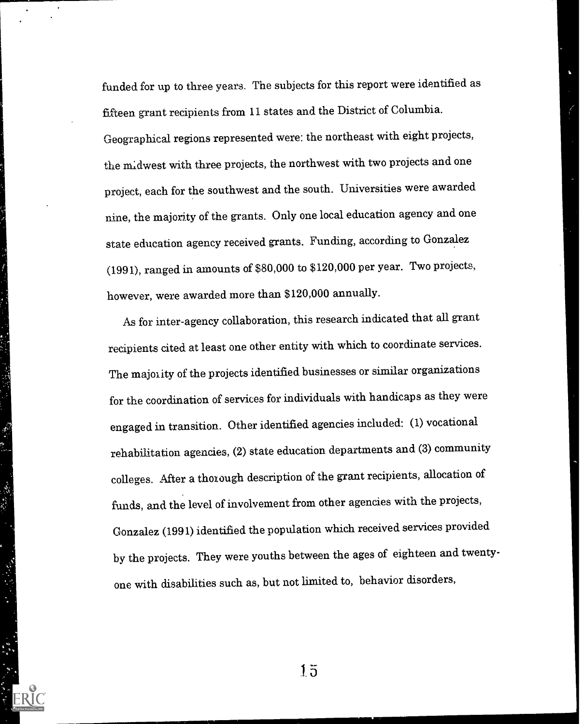funded for up to three years. The subjects for this report were identified as fifteen grant recipients from 11 states and the District of Columbia. Geographical regions represented were: the northeast with eight projects, the midwest with three projects, the northwest with two projects and one project, each for the southwest and the south. Universities were awarded nine, the majority of the grants. Only one local education agency and one state education agency received grants. Funding, according to Gonzalez (1991), ranged in amounts of \$80,000 to \$120,000 per year. Two projects, however, were awarded more than \$120,000 annually.

As for inter-agency collaboration, thisresearch indicated that all grant recipients cited at least one other entity with which to coordinate services. The majority of the projects identified businesses or similar organizations for the coordination of services for individuals with handicaps as they were engaged in transition. Other identified agencies included: (1) vocational rehabilitation agencies, (2) state education departments and (3) community colleges. After a thorough description of the grant recipients, allocation of funds, and the level of involvement from other agencies with the projects, Gonzalez (1991) identified the population which received services provided by the projects. They were youths between the ages of eighteen and twentyone with disabilities such as, but not limited to, behavior disorders,

1. 小孩 经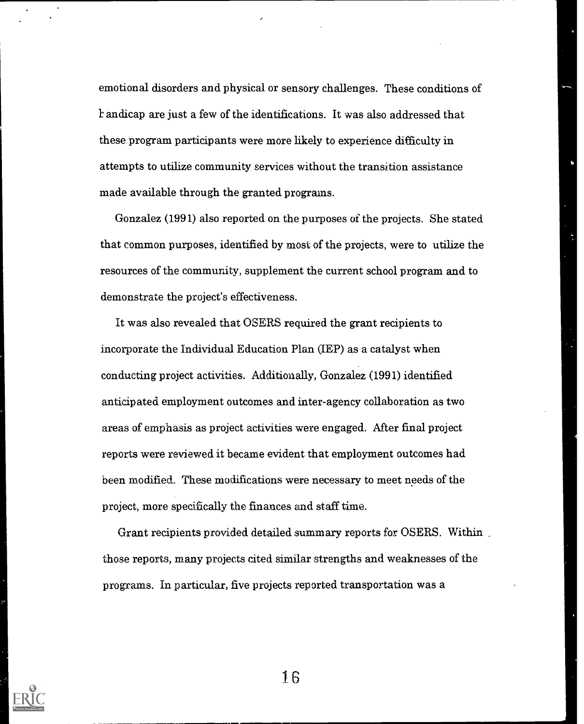emotional disorders and physical or sensory challenges. These conditions of andicap are just a few of the identifications. It was also addressed that these program participants were more likely to experience difficulty in attempts to utilize community services without the transition assistance made available through the granted programs.

Gonzalez (1991) also reported on the purposes of the projects. She stated that common purposes, identified by most of the projects, were to utilize the resources of the community, supplement the current school program and to demonstrate the project's effectiveness.

It was also revealed that OSERS required the grant recipients to incorporate the individual Education Plan (IEP) as a catalyst when conducting project activities. Additionally, Gonzalez (1991) identified anticipated employment outcomes and inter-agency collaboration as two areas of emphasis as project activities were engaged. After final project reports were reviewed it became evident that employment outcomes had been modified. These modifications were necessary to meet needs of the project, more specifically the finances and staff time.

Grant recipients provided detailed summary reports for OSERS. Within those reports, many projects cited similar strengths and weaknesses of the programs. In particular, five projects reported transportation was a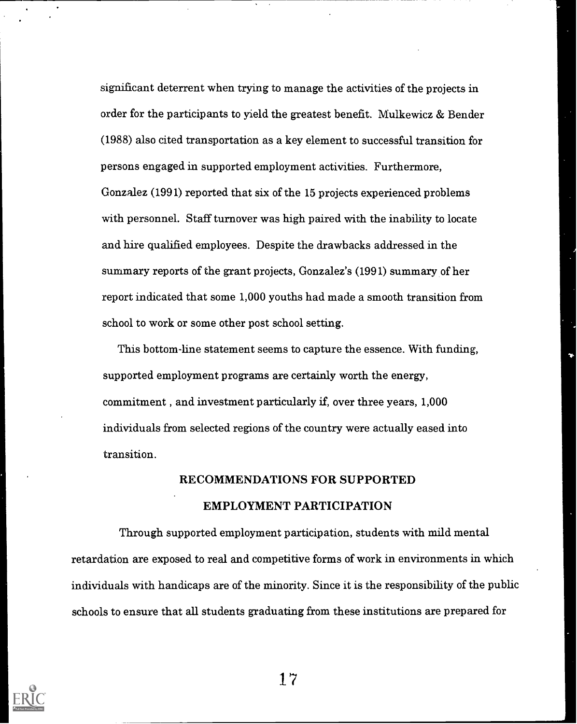significant deterrent when trying to manage the activities of the projects in order for the participants to yield the greatest benefit. Mulkewicz & Bender (1988) also cited transportation as a key element to successful transition for persons engaged in supported employment activities. Furthermore, Gonzalez (1991) reported that six of the 15 projects experienced problems with personnel. Staff turnover was high paired with the inability to locate and hire qualified employees. Despite the drawbacks addressed in the summary reports of the grant projects, Gonzalez's (1991) summary of her report indicated that some 1,000 youths had made a smooth transition from school to work or some other post school setting.

This bottom-line statement seems to capture the essence. With funding, supported employment programs are certainly worth the energy, commitment , and investment particularly if, over three years, 1,000 individuals from selected regions of the country were actually eased into transition.

# RECOMMENDATIONS FOR SUPPORTED EMPLOYMENT PARTICIPATION

Through supported employment participation, students with mild mental retardation are exposed to real and competitive forms of work in environments in which individuals with handicaps are of the minority. Since it is the responsibility of the public schools to ensure that all students graduating from these institutions are prepared for

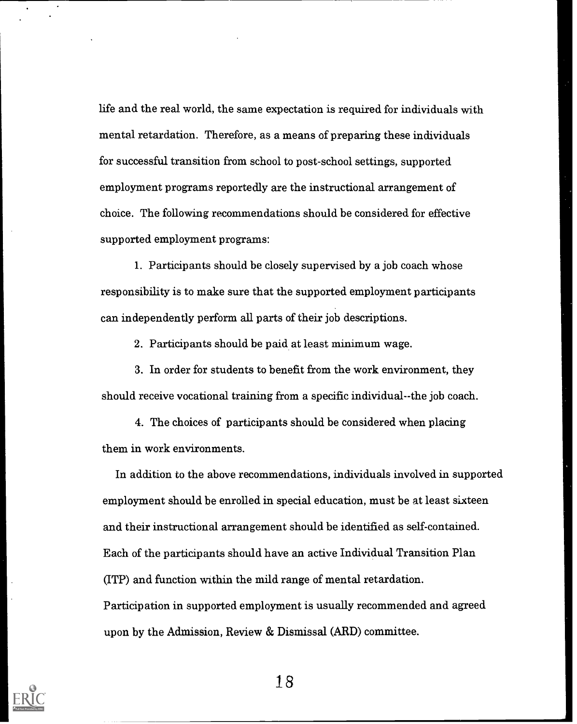life and the real world, the same expectation is required for individuals with mental retardation. Therefore, as a means of preparing these individuals for successful transition from school to post-school settings, supported employment programs reportedly are the instructional arrangement of choice. The following recommendations should be considered for effective supported employment programs:

1. Participants should be closely supervised by a job coach whose responsibility is to make sure that the supported employment participants can independently perform all parts of their job descriptions.

2. Participants should be paid at least minimum wage.

3. In order for students to benefit from the work environment, they should receive vocational training from a specific individual- -the job coach.

4. The choices of participants should be considered when placing them in work environments.

In addition to the above recommendations, individuals involved in supported employment should be enrolled in special education, must be at least sixteen and their instructional arrangement should be identified as self-contained. Each of the participants should have an active Individual Transition Plan (ITP) and function within the mild range of mental retardation. Participation in supported employment is usually recommended and agreed upon by the Admission, Review & Dismissal (ARD) committee.

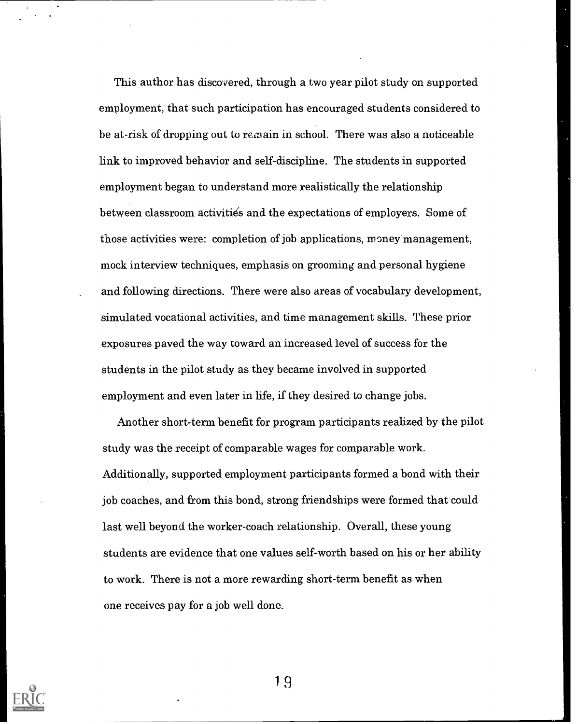This author has discovered, through a two year pilot study on supported employment, that such participation has encouraged students considered to be at-risk of dropping out to remain in school. There was also a noticeable link to improved behavior and self-discipline. The students in supported employment began to understand more realistically the relationship between classroom activities and the expectations of employers. Some of those activities were: completion of job applications, money management, mock interview techniques, emphasis on grooming and personal hygiene and following directions. There were also areas of vocabulary development, simulated vocational activities, and time management skills. These prior exposures paved the way toward an increased level of success for the students in the pilot study as they became involved in supported employment and even later in life, if they desired to change jobs.

Another short-term benefit for program participants realized by the pilot study was the receipt of comparable wages for comparable work. Additionally, supported employment participants formed a bond with their job coaches, and from this bond, strong friendships were formed that could last well beyond the worker-coach relationship. Overall, these young students are evidence that one values self-worth based on his or her ability to work. There is not a more rewarding short-term benefit as when one receives pay for a job well done.

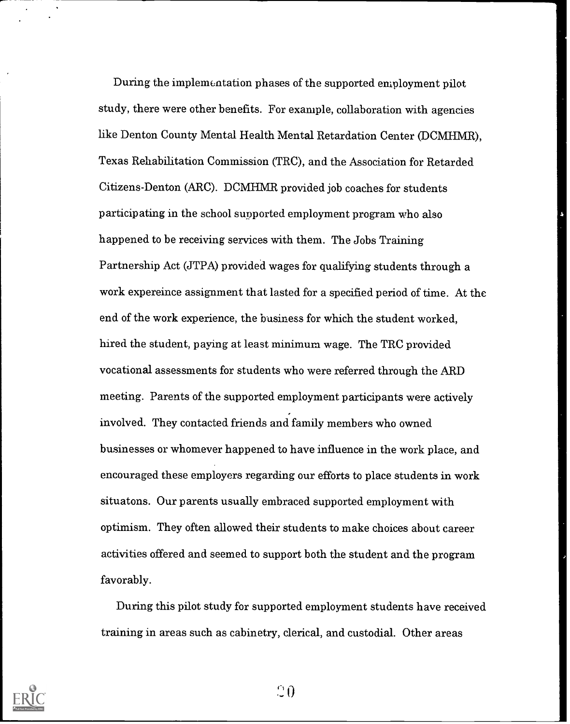During the implementation phases of the supported employment pilot study, there were other benefits. For example, collaboration with agencies like Denton County Mental Health Mental Retardation Center (DCMHMR), Texas Rehabilitation Commission (TRC), and the Association for Retarded Citizens-Denton (ARC). DCMHMR provided job coaches for students participating in the school supported employment program who also happened to be receiving services with them. The Jobs Training Partnership Act (JTPA) provided wages for qualifying students through a work expereince assignment that lasted for a specified period of time. At the end of the work experience, the business for which the student worked, hired the student, paying at least minimum wage. The TRC provided vocational assessments for students who were referred through the ARD meeting. Parents of the supported employment participants were actively involved. They contacted friends and family members who owned businesses or whomever happened to have influence in the work place, and encouraged these employers regarding our efforts to place students in work situatons. Our parents usually embraced supported employment with optimism. They often allowed their students to make choices about career activities offered and seemed to support both the student and the program favorably.

During this pilot study for supported employment students have received training in areas such as cabinetry, clerical, and custodial. Other areas



 $\Omega$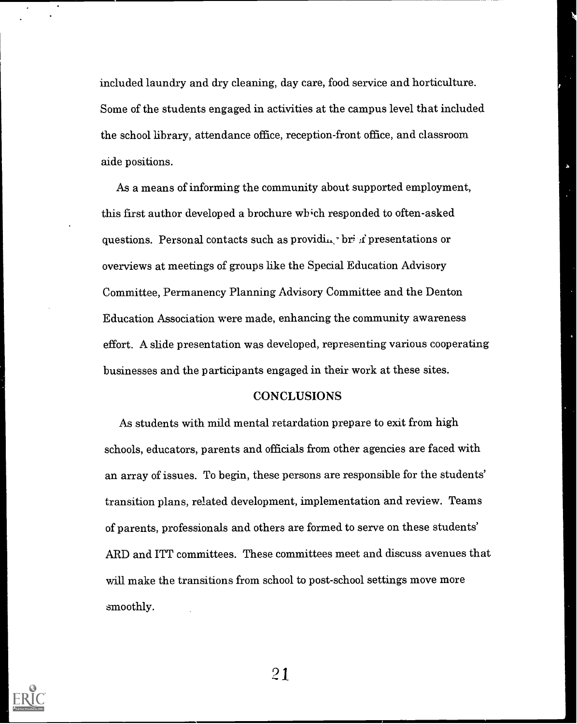included laundry and dry cleaning, day care, food service and horticulture. Some of the students engaged in activities at the campus level that included the school library, attendance office, reception-front office, and classroom aide positions.

As a means of informing the community about supported employment, this first author developed a brochure which responded to often-asked questions. Personal contacts such as providing bri  $\vec{x}$  presentations or overviews at meetings of groups like the Special Education Advisory Committee, Permanency Planning Advisory Committee and the Denton Education Association were made, enhancing the community awareness effort. A slide presentation was developed, representing various cooperating businesses and the participants engaged in their work at these sites.

# **CONCLUSIONS**

As students with mild mental retardation prepare to exit from high schools, educators, parents and officials from other agencies are faced with an array of issues. To begin, these persons are responsible for the students' transition plans, related development, implementation and review. Teams of parents, professionals and others are formed to serve on these students' ARD and ITT committees. These committees meet and discuss avenues that will make the transitions from school to post-school settings move more smoothly.

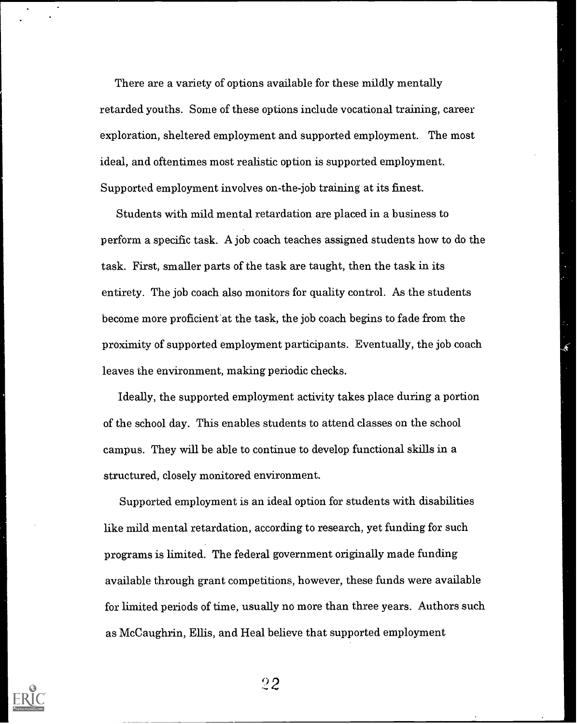There are a variety of options available for these mildly mentally retarded youths. Some of these options include vocational training, career exploration, sheltered employment and supported employment. The most ideal, and oftentimes most realistic option is supported employment. Supported employment involves on-the-job training at its finest.

Students with mild mental retardation are placed in a business to perform a specific task. A job coach teaches assigned students how to do the task. First, smaller parts of the task are taught, then the task in its entirety. The job coach also monitors for quality control. As the students become more proficient at the task, the job coach begins to fade from the proximity of supported employment participants. Eventually, the job coach leaves the environment, making periodic checks.

Ideally, the supported employment activity takes place during a portion of the school day. This enables students to attend classes on the school campus. They will be able to continue to develop functional skills in a structured, closely monitored environment.

Supported employment is an ideal option for students with disabilities like mild mental retardation, according to research, yet funding for such programs is limited. The federal government originally made funding available through grant competitions, however, these funds were available for limited periods of time, usually no more than three years. Authors such as McCaughrin, Ellis, and Heal believe that supported employment



`)2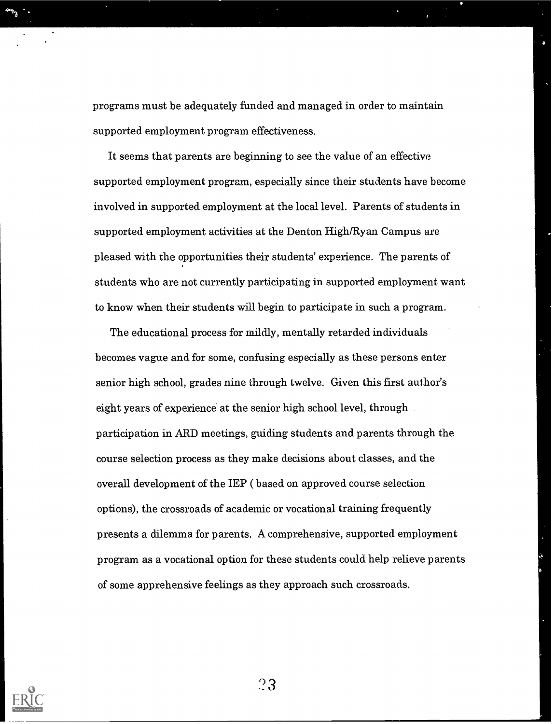programs must be adequately funded and managed in order to maintain supported employment program effectiveness.

It seems that parents are beginning to see the value of an effective supported employment program, especially since their students have become involved in supported employment at the local level. Parents of students in supported employment activities at the Denton High/Ryan Campus are pleased with the opportunities their students' experience. The parents of students who are not currently participating in supported employment want to know when their students will begin to participate in such a program.

The educational process for mildly, mentally retarded individuals becomes vague and for some, confusing especially as these persons enter senior high school, grades nine through twelve. Given this first author's eight years of experience at the senior high school level, through participation in ARD meetings, guiding students and parents through the course selection process as they make decisions about classes, and the overall development of the IEP ( based on approved course selection options), the crossroads of academic or vocational training frequently presents a dilemma for parents. A comprehensive, supported employment program as a vocational option for these students could help relieve parents of some apprehensive feelings as they approach such crossroads.

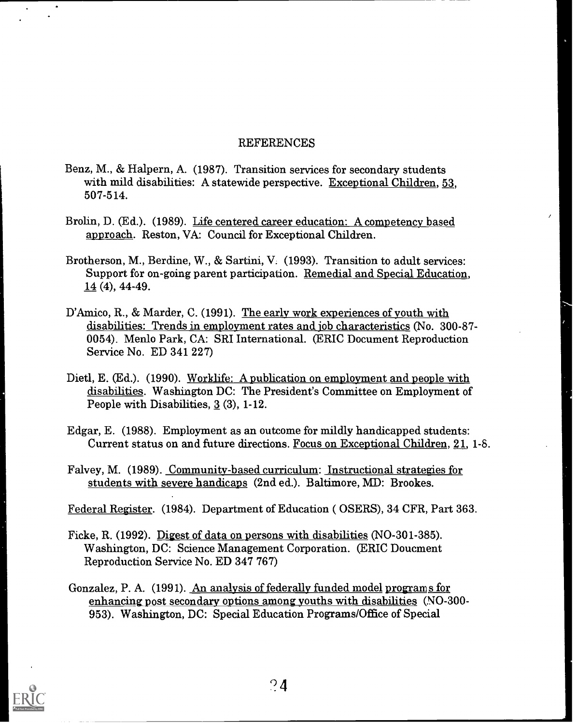# REFERENCES

- Benz, M., & Halpern, A. (1987). Transition services for secondary students with mild disabilities: A statewide perspective. Exceptional Children, 53, 507-514.
- Brolin, D. (Ed.). (1989). Life centered career education: A competency based approach. Reston, VA: Council for Exceptional Children.
- Brotherson, M., Berdine, W., & Sartini, V. (1993). Transition to adult services: Support for on-going parent participation. Remedial and Special Education,  $14(4)$ , 44-49.
- D'Amico, R., & Marder, C. (1991). The early work experiences of youth with disabilities: Trends in employment rates and job characteristics (No. 300 -87- 0054). Menlo Park, CA: SRI International. (ERIC Document Reproduction Service No. ED 341 227)
- Dietl, E. (Ed.). (1990). Worklife: A publication on employment and people with disabilities. Washington DC: The President's Committee on Employment of People with Disabilities, 3 (3), 1-12.
- Edgar, E. (1988). Employment as an outcome for mildly handicapped students: Current status on and future directions. Focus on Exceptional Children, 21, 1-8.
- Falvey, M. (1989). Community-based curriculum: Instructional strategies for students with severe handicaps (2nd ed.). Baltimore, MD: Brookes.

Federal Register. (1984). Department of Education ( OSERS), 34 CFR, Part 363.

- Ficke, R. (1992). Digest of data on persons with disabilities (NO-301-385). Washington, DC: Science Management Corporation. (ERIC Doucment Reproduction Service No. ED 347 767)
- Gonzalez, P. A. (1991). An analysis of federally funded model programs for enhancing post secondary options among youths with disabilities (NO-300-953). Washington, DC: Special Education Programs/Office of Special

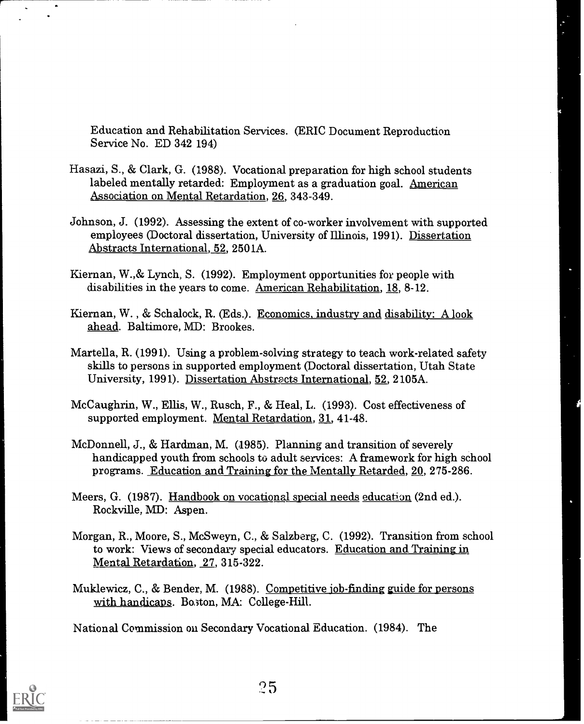Education and Rehabilitation Services. (ERIC Document Reproduction Service No. ED 342 194)

- Hasazi, S., & Clark, G. (1988). Vocational preparation for high school students labeled mentally retarded: Employment as a graduation goal. American Association on Mental Retardation, 26, 343-349.
- Johnson, J. (1992). Assessing the extent of co-worker involvement with supported employees (Doctoral dissertation, University of Illinois, 1991). Dissertation Abstracts International, 52, 2501A.
- Kiernan, W.,& Lynch, S. (1992). Employment opportunities for people with disabilities in the years to come. American Rehabilitation, 18, 8-12.
- Kiernan, W. , & Schalock, R. (Eds.). Economics, industry and disability: A look ahead. Baltimore, MD: Brookes.
- Martella, R. (1991). Using a problem-solving strategy to teach work-related safety skills to persons in supported employment (Doctoral dissertation, Utah State University, 1991). Dissertation Abstracts International, 52, 2105A.
- McCaughrin, W., Ellis, W., Rusch, F., & Heal, L. (1993). Cost effectiveness of supported employment. Mental Retardation, 31, 41-48.
- McDonnell, J., & Hardman, M. (1985). Planning and transition of severely handicapped youth from schools to adult services: A framework for high school programs. Education and Training for the Mentally Retarded, 20, 275-286.
- Meers, G. (1987). Handbook on vocational special needs education (2nd ed.). Rockville, MD: Aspen.
- Morgan, R., Moore, S., McSweyn, C., & Salzberg, C. (1992). Transition from school to work: Views of secondary special educators. Education and Training in Mental Retardation, 27, 315-322.
- Muklewicz, C., & Bender, M. (1988). Competitive job-finding guide for persons with handicaps. Bo ton, MA: College-Hill.

National Commission on Secondary Vocational Education. (1984). The